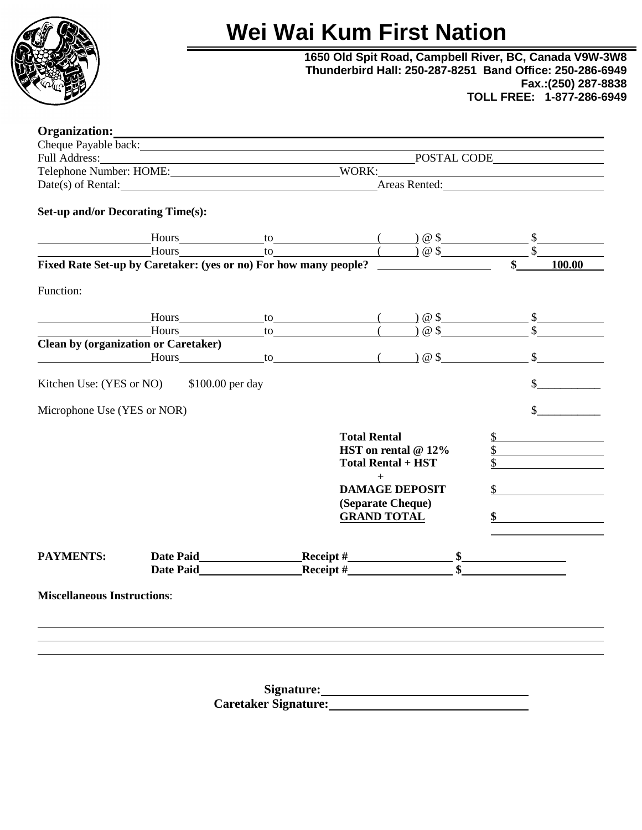

# **Wei Wai Kum First Nation**

**1650 Old Spit Road, Campbell River, BC, Canada V9W-3W8 Thunderbird Hall: 250-287-8251 Band Office: 250-286-6949 Fax.:(250) 287-8838 TOLL FREE: 1-877-286-6949**

| Organization:                                                                                                  |                                                                                                                                                                                                                                                                                                                                                                                                                                                                                          |  |  |                                                                           |  |  |        |
|----------------------------------------------------------------------------------------------------------------|------------------------------------------------------------------------------------------------------------------------------------------------------------------------------------------------------------------------------------------------------------------------------------------------------------------------------------------------------------------------------------------------------------------------------------------------------------------------------------------|--|--|---------------------------------------------------------------------------|--|--|--------|
|                                                                                                                | Cheque Payable back:                                                                                                                                                                                                                                                                                                                                                                                                                                                                     |  |  |                                                                           |  |  |        |
|                                                                                                                |                                                                                                                                                                                                                                                                                                                                                                                                                                                                                          |  |  |                                                                           |  |  |        |
|                                                                                                                |                                                                                                                                                                                                                                                                                                                                                                                                                                                                                          |  |  |                                                                           |  |  |        |
| POSTAL CODE<br>Telephone Number: HOME: WORK: WORK: Netes & Rented: National Street Contract Control of Rental: |                                                                                                                                                                                                                                                                                                                                                                                                                                                                                          |  |  |                                                                           |  |  |        |
| <b>Set-up and/or Decorating Time(s):</b>                                                                       |                                                                                                                                                                                                                                                                                                                                                                                                                                                                                          |  |  |                                                                           |  |  |        |
|                                                                                                                |                                                                                                                                                                                                                                                                                                                                                                                                                                                                                          |  |  |                                                                           |  |  |        |
|                                                                                                                | $\text{Hours}_{\text{Hours}}$ to $\qquad \qquad \text{to} \qquad \qquad \text{to} \qquad \qquad \text{to} \qquad \qquad \text{to} \qquad \qquad \text{to} \qquad \qquad \text{to} \qquad \qquad \text{to} \qquad \qquad \text{to} \qquad \qquad \text{to} \qquad \qquad \text{to} \qquad \qquad \text{to} \qquad \qquad \text{to} \qquad \qquad \text{to} \qquad \qquad \text{to} \qquad \qquad \text{to} \qquad \qquad \text{to} \qquad \text{to} \qquad \text{to} \qquad \text{to} \q$ |  |  |                                                                           |  |  |        |
|                                                                                                                | Fixed Rate Set-up by Caretaker: (yes or no) For how many people?                                                                                                                                                                                                                                                                                                                                                                                                                         |  |  |                                                                           |  |  | 100.00 |
| Function:                                                                                                      |                                                                                                                                                                                                                                                                                                                                                                                                                                                                                          |  |  |                                                                           |  |  |        |
|                                                                                                                |                                                                                                                                                                                                                                                                                                                                                                                                                                                                                          |  |  |                                                                           |  |  |        |
|                                                                                                                | Hours to () @ \$<br>Hours to () @ \$                                                                                                                                                                                                                                                                                                                                                                                                                                                     |  |  |                                                                           |  |  |        |
|                                                                                                                | <b>Clean by (organization or Caretaker)</b>                                                                                                                                                                                                                                                                                                                                                                                                                                              |  |  |                                                                           |  |  |        |
|                                                                                                                | $\frac{1}{2}$ $\frac{1}{2}$ $\frac{1}{2}$ $\frac{1}{2}$ $\frac{1}{2}$ $\frac{1}{2}$ $\frac{1}{2}$ $\frac{1}{2}$ $\frac{1}{2}$ $\frac{1}{2}$ $\frac{1}{2}$ $\frac{1}{2}$ $\frac{1}{2}$ $\frac{1}{2}$ $\frac{1}{2}$ $\frac{1}{2}$ $\frac{1}{2}$ $\frac{1}{2}$ $\frac{1}{2}$ $\frac{1}{2}$ $\frac{1}{2}$ $\frac{1}{2}$                                                                                                                                                                      |  |  |                                                                           |  |  |        |
| Kitchen Use: (YES or NO)                                                                                       | \$100.00 per day                                                                                                                                                                                                                                                                                                                                                                                                                                                                         |  |  |                                                                           |  |  |        |
| Microphone Use (YES or NOR)                                                                                    |                                                                                                                                                                                                                                                                                                                                                                                                                                                                                          |  |  |                                                                           |  |  |        |
|                                                                                                                |                                                                                                                                                                                                                                                                                                                                                                                                                                                                                          |  |  | <b>Total Rental</b><br>HST on rental $@12\%$<br><b>Total Rental + HST</b> |  |  |        |
|                                                                                                                | $\boldsymbol{+}$<br><b>DAMAGE DEPOSIT</b>                                                                                                                                                                                                                                                                                                                                                                                                                                                |  |  |                                                                           |  |  |        |
|                                                                                                                | (Separate Cheque)<br><b>GRAND TOTAL</b>                                                                                                                                                                                                                                                                                                                                                                                                                                                  |  |  |                                                                           |  |  |        |
|                                                                                                                |                                                                                                                                                                                                                                                                                                                                                                                                                                                                                          |  |  |                                                                           |  |  |        |
| <b>PAYMENTS:</b>                                                                                               |                                                                                                                                                                                                                                                                                                                                                                                                                                                                                          |  |  | _Receipt #____________________<br>_Receipt #____________________          |  |  |        |
|                                                                                                                |                                                                                                                                                                                                                                                                                                                                                                                                                                                                                          |  |  |                                                                           |  |  |        |
| <b>Miscellaneous Instructions:</b>                                                                             |                                                                                                                                                                                                                                                                                                                                                                                                                                                                                          |  |  |                                                                           |  |  |        |
|                                                                                                                |                                                                                                                                                                                                                                                                                                                                                                                                                                                                                          |  |  |                                                                           |  |  |        |
|                                                                                                                |                                                                                                                                                                                                                                                                                                                                                                                                                                                                                          |  |  |                                                                           |  |  |        |
|                                                                                                                |                                                                                                                                                                                                                                                                                                                                                                                                                                                                                          |  |  |                                                                           |  |  |        |
|                                                                                                                |                                                                                                                                                                                                                                                                                                                                                                                                                                                                                          |  |  |                                                                           |  |  |        |
|                                                                                                                |                                                                                                                                                                                                                                                                                                                                                                                                                                                                                          |  |  |                                                                           |  |  |        |

**Signature: Caretaker Signature:**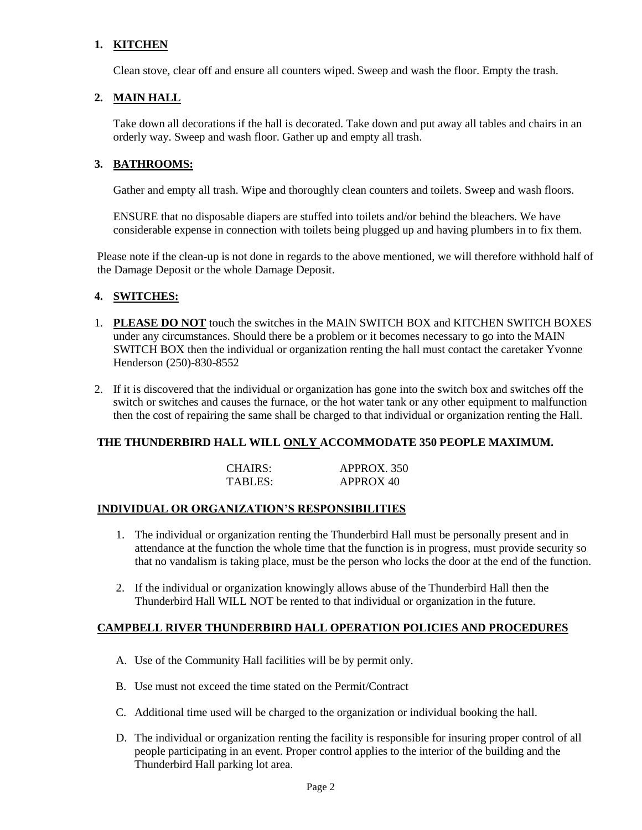#### **1. KITCHEN**

Clean stove, clear off and ensure all counters wiped. Sweep and wash the floor. Empty the trash.

#### **2. MAIN HALL**

Take down all decorations if the hall is decorated. Take down and put away all tables and chairs in an orderly way. Sweep and wash floor. Gather up and empty all trash.

#### **3. BATHROOMS:**

Gather and empty all trash. Wipe and thoroughly clean counters and toilets. Sweep and wash floors.

ENSURE that no disposable diapers are stuffed into toilets and/or behind the bleachers. We have considerable expense in connection with toilets being plugged up and having plumbers in to fix them.

Please note if the clean-up is not done in regards to the above mentioned, we will therefore withhold half of the Damage Deposit or the whole Damage Deposit.

#### **4. SWITCHES:**

- 1. **PLEASE DO NOT** touch the switches in the MAIN SWITCH BOX and KITCHEN SWITCH BOXES under any circumstances. Should there be a problem or it becomes necessary to go into the MAIN SWITCH BOX then the individual or organization renting the hall must contact the caretaker Yvonne Henderson (250)-830-8552
- 2. If it is discovered that the individual or organization has gone into the switch box and switches off the switch or switches and causes the furnace, or the hot water tank or any other equipment to malfunction then the cost of repairing the same shall be charged to that individual or organization renting the Hall.

#### **THE THUNDERBIRD HALL WILL ONLY ACCOMMODATE 350 PEOPLE MAXIMUM.**

| CHAIRS: | APPROX. 350 |
|---------|-------------|
| TABLES: | APPROX 40   |

#### **INDIVIDUAL OR ORGANIZATION'S RESPONSIBILITIES**

- 1. The individual or organization renting the Thunderbird Hall must be personally present and in attendance at the function the whole time that the function is in progress, must provide security so that no vandalism is taking place, must be the person who locks the door at the end of the function.
- 2. If the individual or organization knowingly allows abuse of the Thunderbird Hall then the Thunderbird Hall WILL NOT be rented to that individual or organization in the future.

#### **CAMPBELL RIVER THUNDERBIRD HALL OPERATION POLICIES AND PROCEDURES**

- A. Use of the Community Hall facilities will be by permit only.
- B. Use must not exceed the time stated on the Permit/Contract
- C. Additional time used will be charged to the organization or individual booking the hall.
- D. The individual or organization renting the facility is responsible for insuring proper control of all people participating in an event. Proper control applies to the interior of the building and the Thunderbird Hall parking lot area.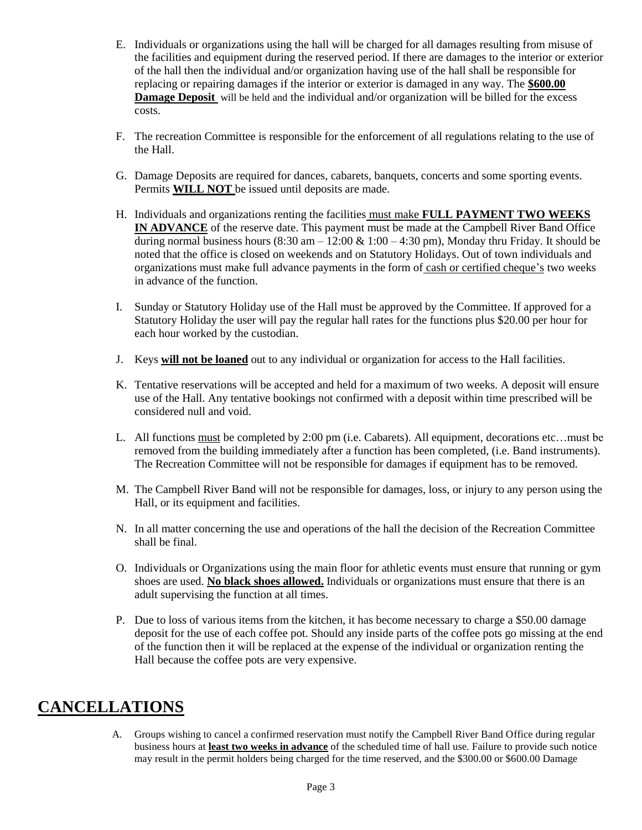- E. Individuals or organizations using the hall will be charged for all damages resulting from misuse of the facilities and equipment during the reserved period. If there are damages to the interior or exterior of the hall then the individual and/or organization having use of the hall shall be responsible for replacing or repairing damages if the interior or exterior is damaged in any way. The **\$600.00 Damage Deposit** will be held and the individual and/or organization will be billed for the excess costs.
- F. The recreation Committee is responsible for the enforcement of all regulations relating to the use of the Hall.
- G. Damage Deposits are required for dances, cabarets, banquets, concerts and some sporting events. Permits **WILL NOT** be issued until deposits are made.
- H. Individuals and organizations renting the facilities must make **FULL PAYMENT TWO WEEKS IN ADVANCE** of the reserve date. This payment must be made at the Campbell River Band Office during normal business hours  $(8:30 \text{ am} - 12:00 \text{ \& } 1:00 - 4:30 \text{ pm})$ , Monday thru Friday. It should be noted that the office is closed on weekends and on Statutory Holidays. Out of town individuals and organizations must make full advance payments in the form of cash or certified cheque's two weeks in advance of the function.
- I. Sunday or Statutory Holiday use of the Hall must be approved by the Committee. If approved for a Statutory Holiday the user will pay the regular hall rates for the functions plus \$20.00 per hour for each hour worked by the custodian.
- J. Keys **will not be loaned** out to any individual or organization for access to the Hall facilities.
- K. Tentative reservations will be accepted and held for a maximum of two weeks. A deposit will ensure use of the Hall. Any tentative bookings not confirmed with a deposit within time prescribed will be considered null and void.
- L. All functions must be completed by 2:00 pm (i.e. Cabarets). All equipment, decorations etc…must be removed from the building immediately after a function has been completed, (i.e. Band instruments). The Recreation Committee will not be responsible for damages if equipment has to be removed.
- M. The Campbell River Band will not be responsible for damages, loss, or injury to any person using the Hall, or its equipment and facilities.
- N. In all matter concerning the use and operations of the hall the decision of the Recreation Committee shall be final.
- O. Individuals or Organizations using the main floor for athletic events must ensure that running or gym shoes are used. **No black shoes allowed.** Individuals or organizations must ensure that there is an adult supervising the function at all times.
- P. Due to loss of various items from the kitchen, it has become necessary to charge a \$50.00 damage deposit for the use of each coffee pot. Should any inside parts of the coffee pots go missing at the end of the function then it will be replaced at the expense of the individual or organization renting the Hall because the coffee pots are very expensive.

## **CANCELLATIONS**

A. Groups wishing to cancel a confirmed reservation must notify the Campbell River Band Office during regular business hours at **least two weeks in advance** of the scheduled time of hall use. Failure to provide such notice may result in the permit holders being charged for the time reserved, and the \$300.00 or \$600.00 Damage